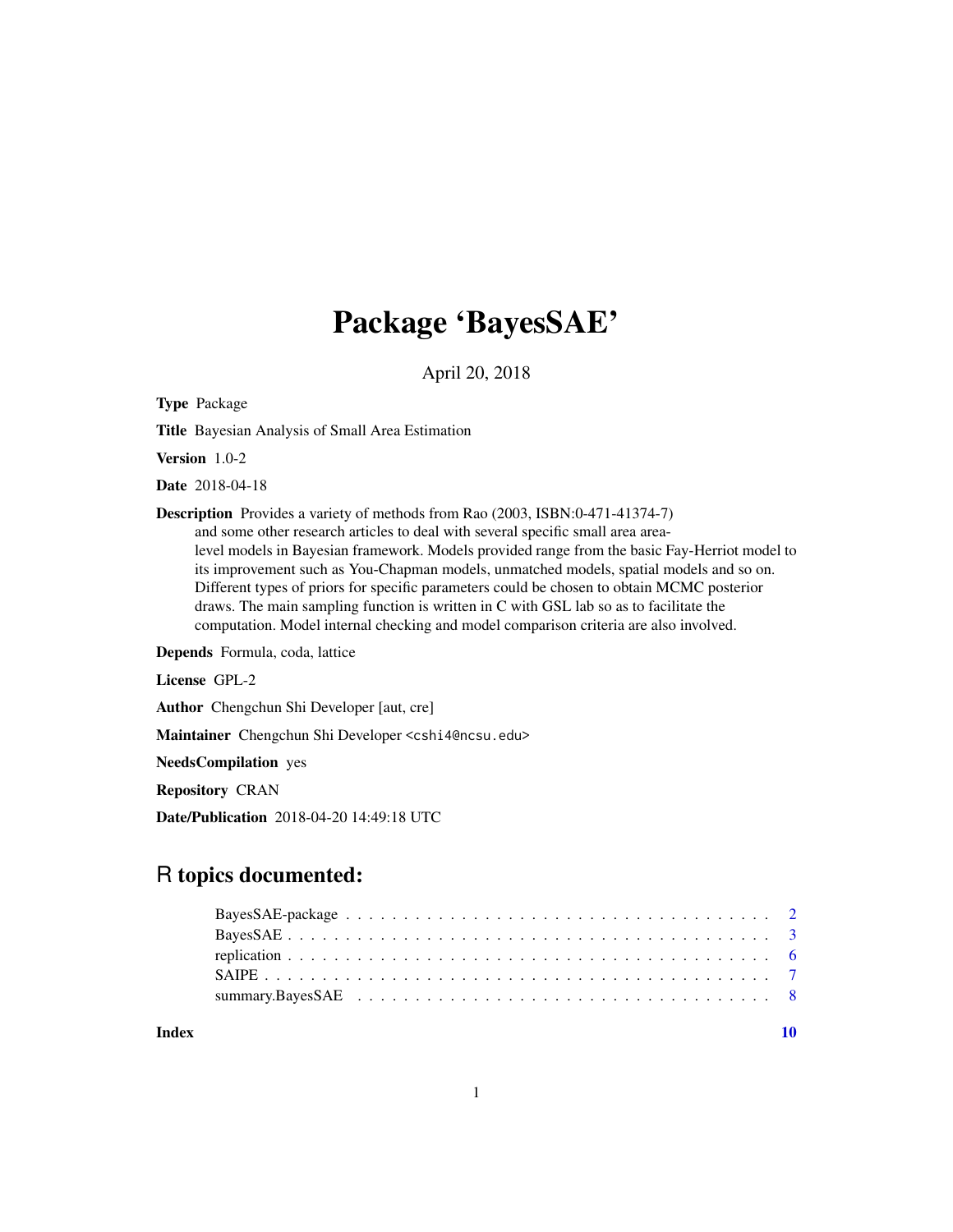## Package 'BayesSAE'

April 20, 2018

Type Package

Title Bayesian Analysis of Small Area Estimation

Version 1.0-2

Date 2018-04-18

Description Provides a variety of methods from Rao (2003, ISBN:0-471-41374-7) and some other research articles to deal with several specific small area arealevel models in Bayesian framework. Models provided range from the basic Fay-Herriot model to its improvement such as You-Chapman models, unmatched models, spatial models and so on. Different types of priors for specific parameters could be chosen to obtain MCMC posterior draws. The main sampling function is written in C with GSL lab so as to facilitate the computation. Model internal checking and model comparison criteria are also involved.

Depends Formula, coda, lattice

License GPL-2

Author Chengchun Shi Developer [aut, cre]

Maintainer Chengchun Shi Developer <cshi4@ncsu.edu>

NeedsCompilation yes

Repository CRAN

Date/Publication 2018-04-20 14:49:18 UTC

### R topics documented:

 $\blacksquare$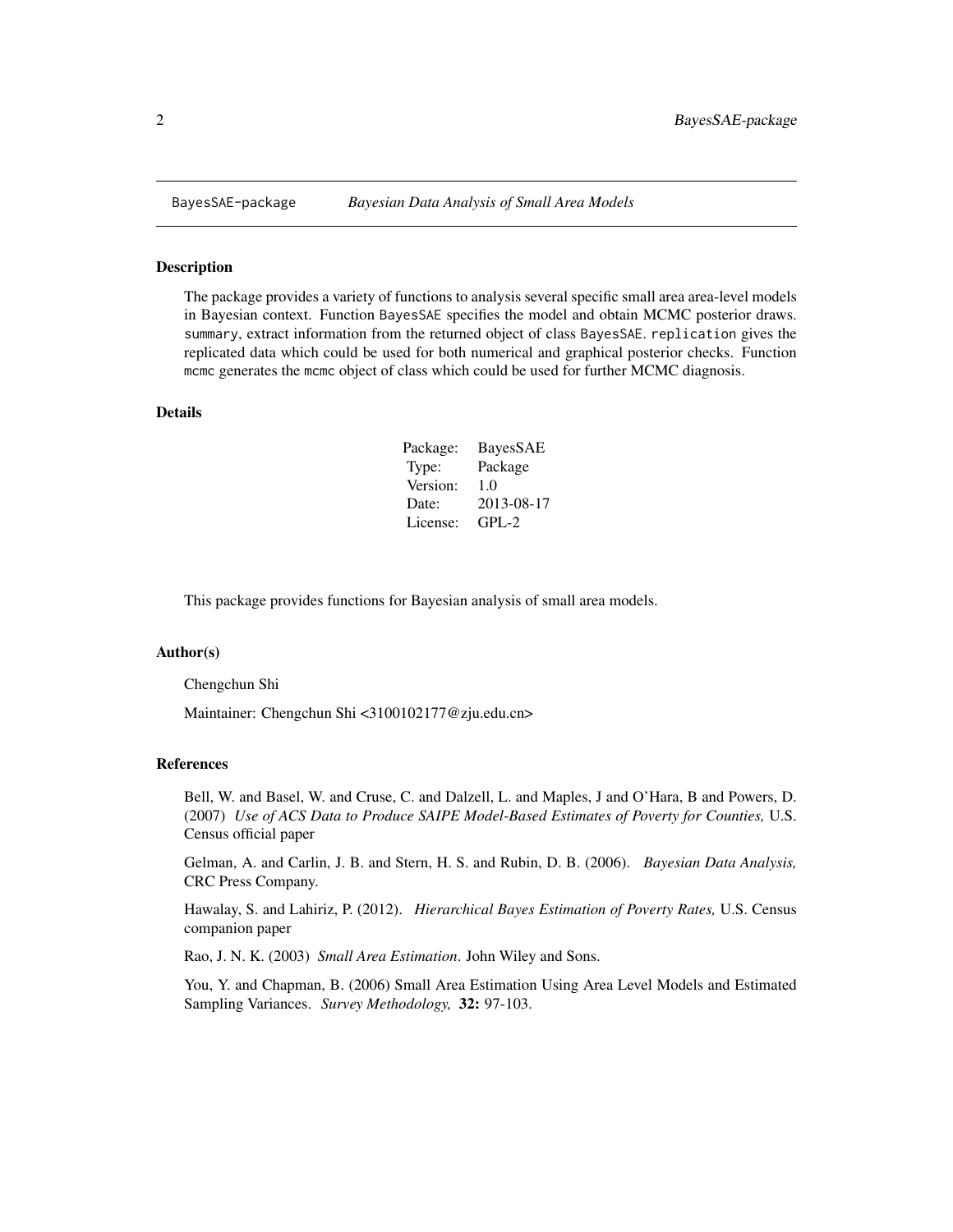<span id="page-1-0"></span>

#### Description

The package provides a variety of functions to analysis several specific small area area-level models in Bayesian context. Function BayesSAE specifies the model and obtain MCMC posterior draws. summary, extract information from the returned object of class BayesSAE. replication gives the replicated data which could be used for both numerical and graphical posterior checks. Function mcmc generates the mcmc object of class which could be used for further MCMC diagnosis.

#### Details

| Package: | BayesSAE   |
|----------|------------|
| Type:    | Package    |
| Version: | 1.0        |
| Date:    | 2013-08-17 |
| License: | $GPI - 2$  |

This package provides functions for Bayesian analysis of small area models.

#### Author(s)

Chengchun Shi

Maintainer: Chengchun Shi <3100102177@zju.edu.cn>

#### References

Bell, W. and Basel, W. and Cruse, C. and Dalzell, L. and Maples, J and O'Hara, B and Powers, D. (2007) *Use of ACS Data to Produce SAIPE Model-Based Estimates of Poverty for Counties,* U.S. Census official paper

Gelman, A. and Carlin, J. B. and Stern, H. S. and Rubin, D. B. (2006). *Bayesian Data Analysis,* CRC Press Company.

Hawalay, S. and Lahiriz, P. (2012). *Hierarchical Bayes Estimation of Poverty Rates,* U.S. Census companion paper

Rao, J. N. K. (2003) *Small Area Estimation*. John Wiley and Sons.

You, Y. and Chapman, B. (2006) Small Area Estimation Using Area Level Models and Estimated Sampling Variances. *Survey Methodology,* 32: 97-103.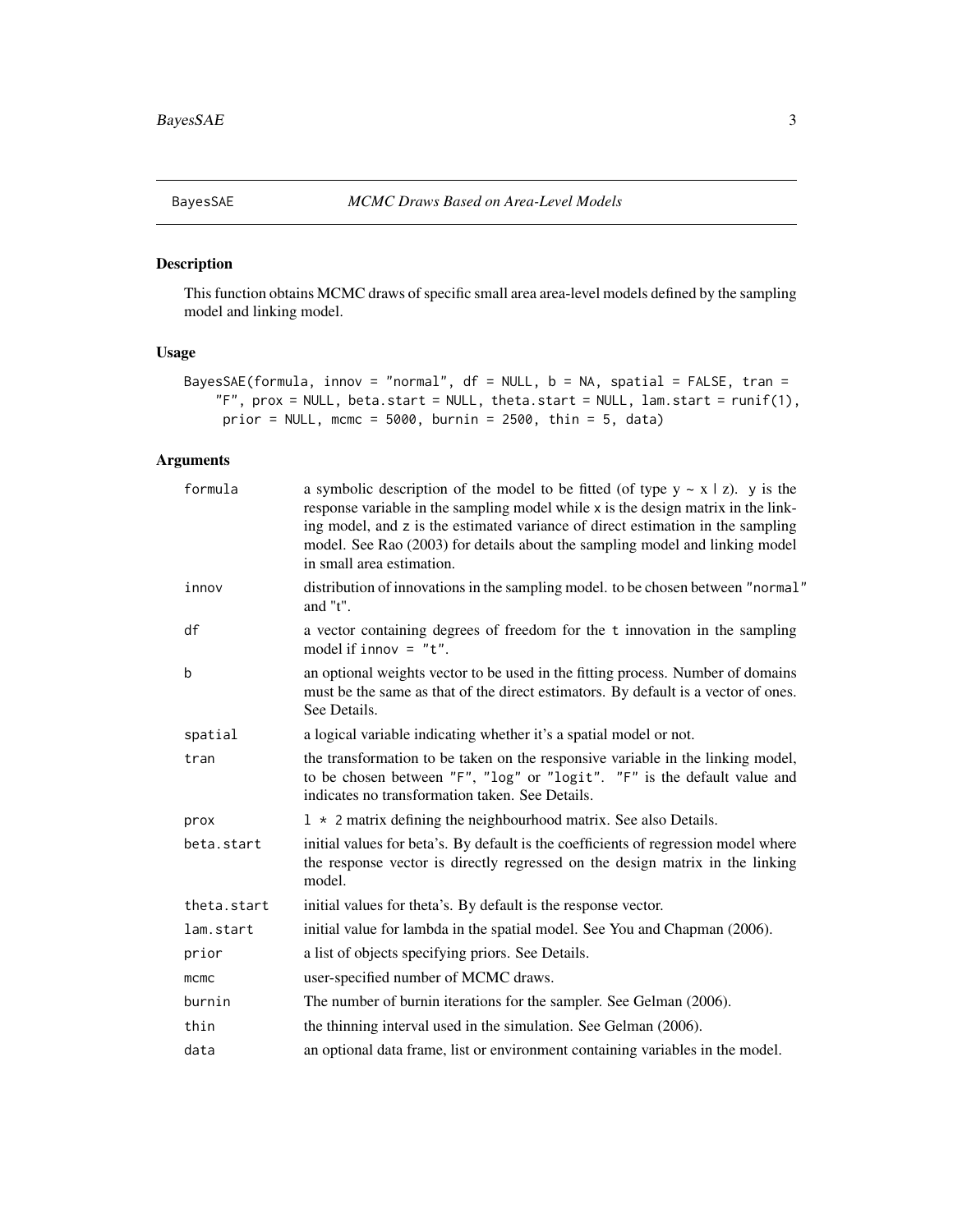<span id="page-2-1"></span><span id="page-2-0"></span>

#### Description

This function obtains MCMC draws of specific small area area-level models defined by the sampling model and linking model.

#### Usage

```
BayesSAE(formula, innov = "normal", df = NULL, b = NA, spatial = FALSE, tran =
    "F", prox = NULL, beta.start = NULL, theta.start = NULL, lan.start = runif(1),
    prior = NULL, mcmc = 5000, burnin = 2500, thin = 5, data)
```
#### Arguments

| formula     | a symbolic description of the model to be fitted (of type $y \sim x \mid z$ ). y is the<br>response variable in the sampling model while x is the design matrix in the link-<br>ing model, and z is the estimated variance of direct estimation in the sampling<br>model. See Rao (2003) for details about the sampling model and linking model<br>in small area estimation. |
|-------------|------------------------------------------------------------------------------------------------------------------------------------------------------------------------------------------------------------------------------------------------------------------------------------------------------------------------------------------------------------------------------|
| innov       | distribution of innovations in the sampling model. to be chosen between "normal"<br>and $"t"$ .                                                                                                                                                                                                                                                                              |
| df          | a vector containing degrees of freedom for the t innovation in the sampling<br>model if innov = $"t".$                                                                                                                                                                                                                                                                       |
| b           | an optional weights vector to be used in the fitting process. Number of domains<br>must be the same as that of the direct estimators. By default is a vector of ones.<br>See Details.                                                                                                                                                                                        |
| spatial     | a logical variable indicating whether it's a spatial model or not.                                                                                                                                                                                                                                                                                                           |
| tran        | the transformation to be taken on the responsive variable in the linking model,<br>to be chosen between "F", "log" or "logit". "F" is the default value and<br>indicates no transformation taken. See Details.                                                                                                                                                               |
| prox        | $1 \times 2$ matrix defining the neighbourhood matrix. See also Details.                                                                                                                                                                                                                                                                                                     |
| beta.start  | initial values for beta's. By default is the coefficients of regression model where<br>the response vector is directly regressed on the design matrix in the linking<br>model.                                                                                                                                                                                               |
| theta.start | initial values for theta's. By default is the response vector.                                                                                                                                                                                                                                                                                                               |
| lam.start   | initial value for lambda in the spatial model. See You and Chapman (2006).                                                                                                                                                                                                                                                                                                   |
| prior       | a list of objects specifying priors. See Details.                                                                                                                                                                                                                                                                                                                            |
| mcmc        | user-specified number of MCMC draws.                                                                                                                                                                                                                                                                                                                                         |
| burnin      | The number of burnin iterations for the sampler. See Gelman (2006).                                                                                                                                                                                                                                                                                                          |
| thin        | the thinning interval used in the simulation. See Gelman (2006).                                                                                                                                                                                                                                                                                                             |
| data        | an optional data frame, list or environment containing variables in the model.                                                                                                                                                                                                                                                                                               |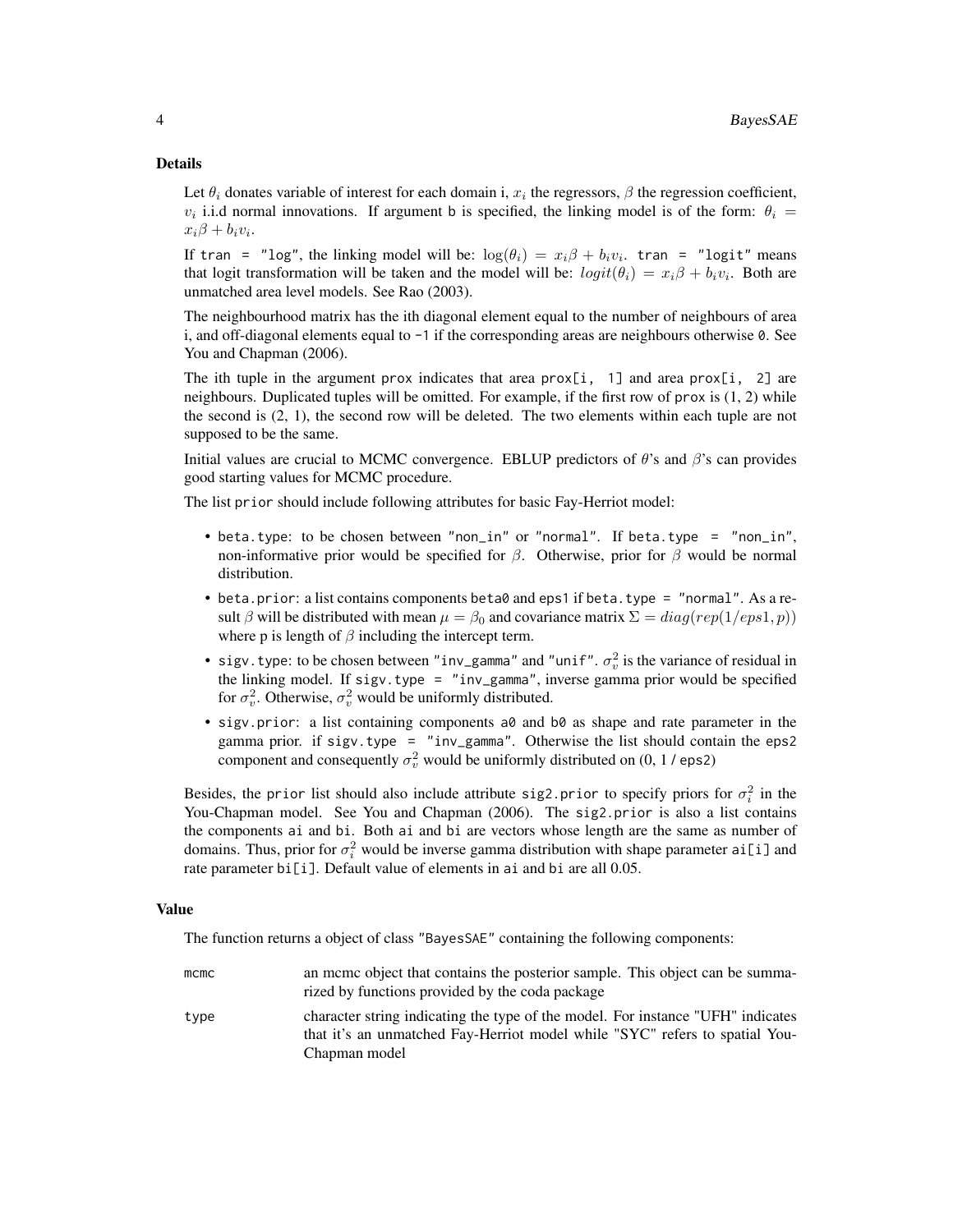#### Details

Let  $\theta_i$  donates variable of interest for each domain i,  $x_i$  the regressors,  $\beta$  the regression coefficient,  $v_i$  i.i.d normal innovations. If argument b is specified, the linking model is of the form:  $\theta_i$  =  $x_i\beta + b_i v_i.$ 

If tran = "log", the linking model will be:  $\log(\theta_i) = x_i \beta + b_i v_i$ . tran = "logit" means that logit transformation will be taken and the model will be:  $logit(\theta_i) = x_i \beta + b_i v_i$ . Both are unmatched area level models. See Rao (2003).

The neighbourhood matrix has the ith diagonal element equal to the number of neighbours of area i, and off-diagonal elements equal to -1 if the corresponding areas are neighbours otherwise 0. See You and Chapman (2006).

The ith tuple in the argument prox indicates that area  $prox[i, 1]$  and area  $prox[i, 2]$  are neighbours. Duplicated tuples will be omitted. For example, if the first row of prox is (1, 2) while the second is  $(2, 1)$ , the second row will be deleted. The two elements within each tuple are not supposed to be the same.

Initial values are crucial to MCMC convergence. EBLUP predictors of  $\theta$ 's and  $\beta$ 's can provides good starting values for MCMC procedure.

The list prior should include following attributes for basic Fay-Herriot model:

- beta.type: to be chosen between "non\_in" or "normal". If beta.type = "non\_in", non-informative prior would be specified for  $\beta$ . Otherwise, prior for  $\beta$  would be normal distribution.
- beta.prior: a list contains components beta0 and eps1 if beta.type = "normal". As a result β will be distributed with mean  $\mu = \beta_0$  and covariance matrix  $\Sigma = diag(rep(1/eps1, p))$ where p is length of  $\beta$  including the intercept term.
- sigv.type: to be chosen between "inv\_gamma" and "unif".  $\sigma_v^2$  is the variance of residual in the linking model. If sigv.type = "inv\_gamma", inverse gamma prior would be specified for  $\sigma_v^2$ . Otherwise,  $\sigma_v^2$  would be uniformly distributed.
- sigv.prior: a list containing components a0 and b0 as shape and rate parameter in the gamma prior. if sigv.type = "inv\_gamma". Otherwise the list should contain the eps2 component and consequently  $\sigma_v^2$  would be uniformly distributed on (0, 1 / eps2)

Besides, the prior list should also include attribute sig2.prior to specify priors for  $\sigma_i^2$  in the You-Chapman model. See You and Chapman (2006). The sig2.prior is also a list contains the components ai and bi. Both ai and bi are vectors whose length are the same as number of domains. Thus, prior for  $\sigma_i^2$  would be inverse gamma distribution with shape parameter ai [i] and rate parameter bi[i]. Default value of elements in ai and bi are all 0.05.

#### Value

The function returns a object of class "BayesSAE" containing the following components:

| mcmc | an mome object that contains the posterior sample. This object can be summa-    |
|------|---------------------------------------------------------------------------------|
|      | rized by functions provided by the coda package                                 |
| type | character string indicating the type of the model. For instance "UFH" indicates |
|      | that it's an unmatched Fay-Herriot model while "SYC" refers to spatial You-     |
|      | Chapman model                                                                   |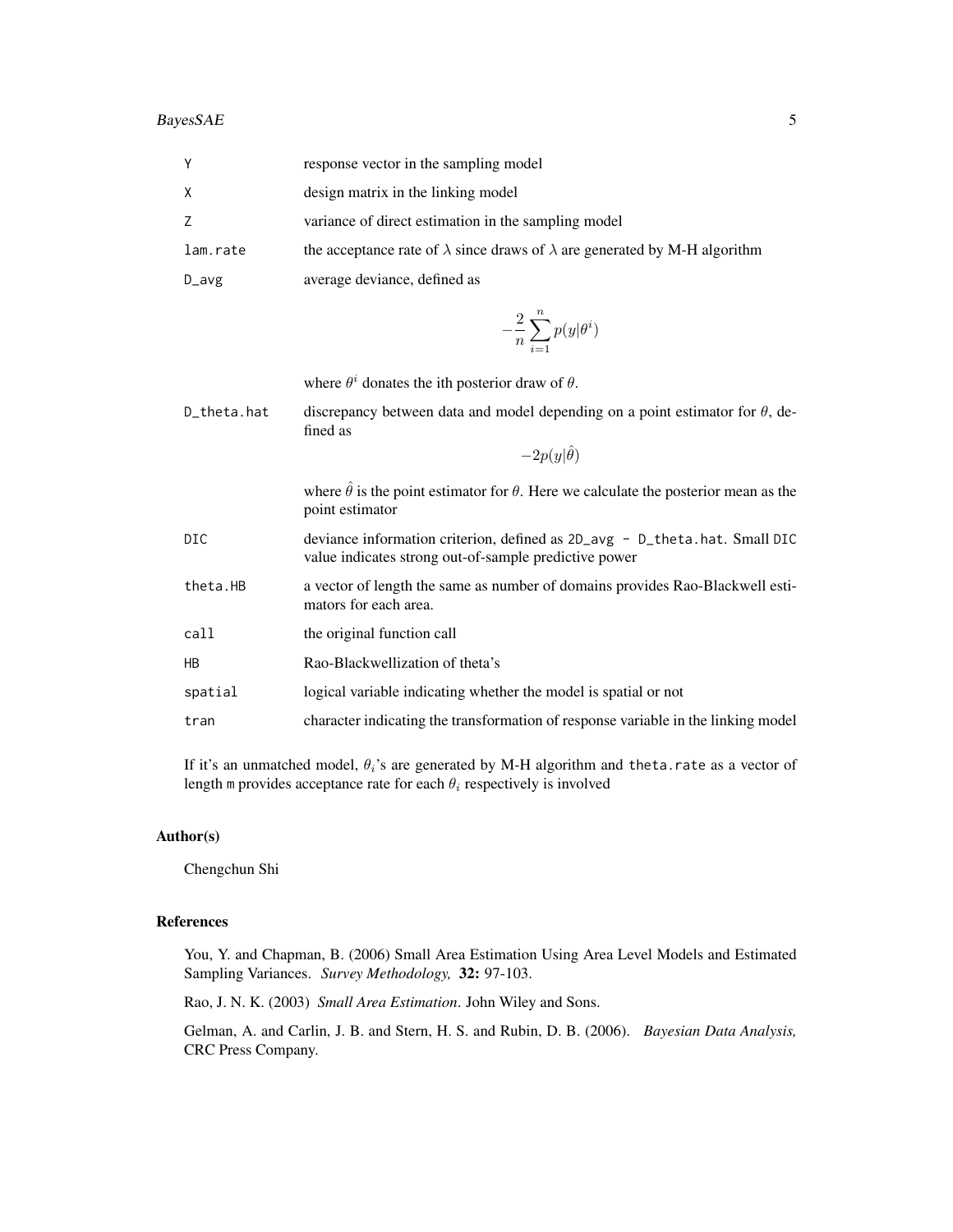| Υ        | response vector in the sampling model                                                    |
|----------|------------------------------------------------------------------------------------------|
| Χ        | design matrix in the linking model                                                       |
| Ζ        | variance of direct estimation in the sampling model                                      |
| lam.rate | the acceptance rate of $\lambda$ since draws of $\lambda$ are generated by M-H algorithm |
| $D_$ avg | average deviance, defined as                                                             |
|          | $-\frac{2}{n}\sum_{i=1}^n p(y \theta^i)$                                                 |

|             | where $\theta^i$ donates the ith posterior draw of $\theta$ .                                                                       |
|-------------|-------------------------------------------------------------------------------------------------------------------------------------|
| D_theta.hat | discrepancy between data and model depending on a point estimator for $\theta$ , de-<br>fined as                                    |
|             | $-2p(y \hat{\theta})$                                                                                                               |
|             | where $\hat{\theta}$ is the point estimator for $\theta$ . Here we calculate the posterior mean as the<br>point estimator           |
| DIC         | deviance information criterion, defined as 2D_avg - D_theta.hat. Small DIC<br>value indicates strong out-of-sample predictive power |
| theta.HB    | a vector of length the same as number of domains provides Rao-Blackwell esti-<br>mators for each area.                              |
| call        | the original function call                                                                                                          |
| НB          | Rao-Blackwellization of theta's                                                                                                     |
| spatial     | logical variable indicating whether the model is spatial or not                                                                     |
| tran        | character indicating the transformation of response variable in the linking model                                                   |

If it's an unmatched model,  $\theta_i$ 's are generated by M-H algorithm and theta.rate as a vector of length m provides acceptance rate for each  $\theta_i$  respectively is involved

#### Author(s)

Chengchun Shi

#### References

You, Y. and Chapman, B. (2006) Small Area Estimation Using Area Level Models and Estimated Sampling Variances. *Survey Methodology,* 32: 97-103.

Rao, J. N. K. (2003) *Small Area Estimation*. John Wiley and Sons.

Gelman, A. and Carlin, J. B. and Stern, H. S. and Rubin, D. B. (2006). *Bayesian Data Analysis,* CRC Press Company.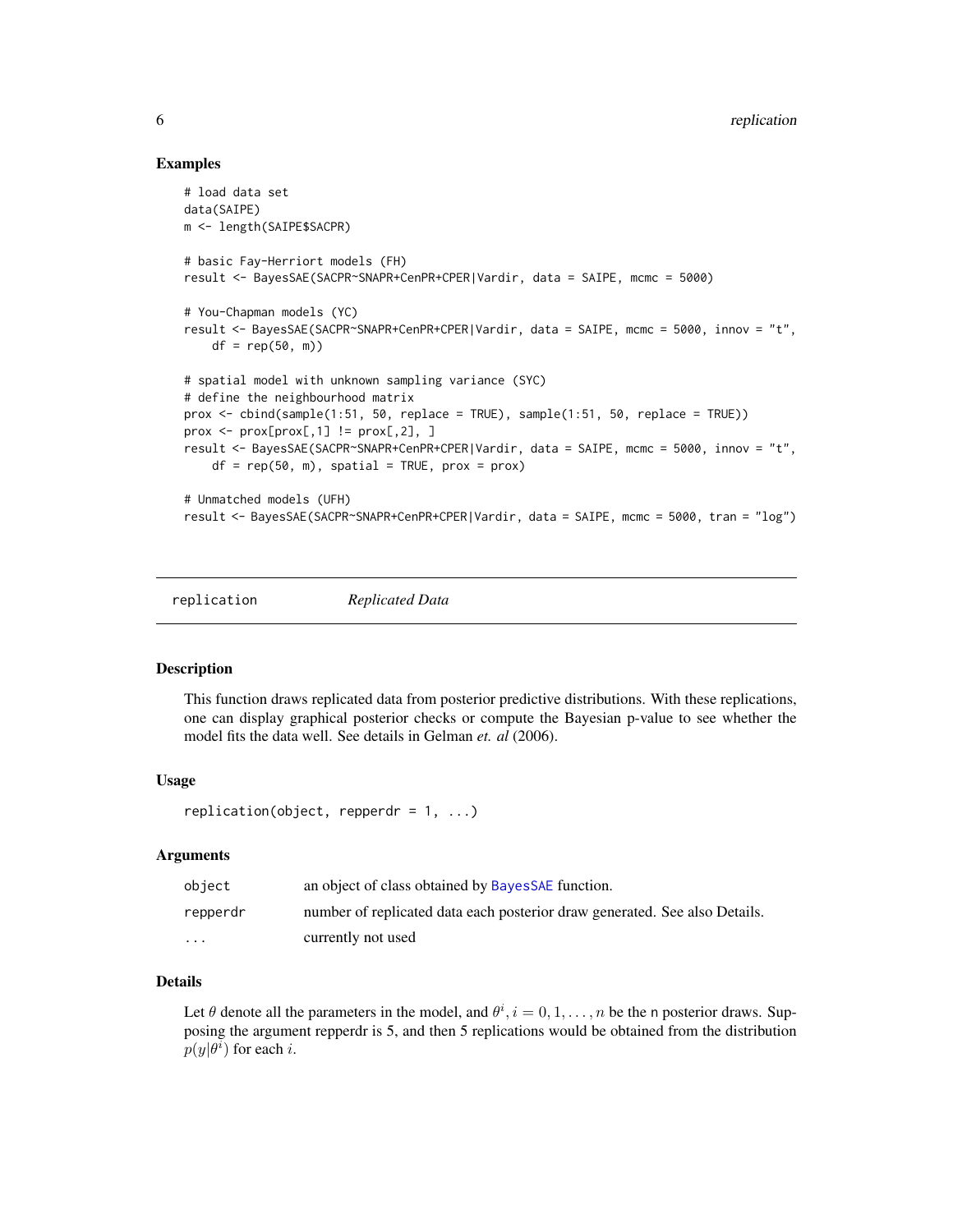#### Examples

```
# load data set
data(SAIPE)
m <- length(SAIPE$SACPR)
# basic Fay-Herriort models (FH)
result <- BayesSAE(SACPR~SNAPR+CenPR+CPER|Vardir, data = SAIPE, mcmc = 5000)
# You-Chapman models (YC)
result <- BayesSAE(SACPR~SNAPR+CenPR+CPER|Vardir, data = SAIPE, mcmc = 5000, innov = "t",
    df = rep(50, m)# spatial model with unknown sampling variance (SYC)
# define the neighbourhood matrix
prox \le cbind(sample(1:51, 50, replace = TRUE), sample(1:51, 50, replace = TRUE))
prox \leq prox[prox[,1] != prox[,2], ]
result <- BayesSAE(SACPR~SNAPR+CenPR+CPER|Vardir, data = SAIPE, mcmc = 5000, innov = "t",
    df = rep(50, m), spatial = TRUE, prox = prox)
# Unmatched models (UFH)
result <- BayesSAE(SACPR~SNAPR+CenPR+CPER|Vardir, data = SAIPE, mcmc = 5000, tran = "log")
```
replication *Replicated Data*

#### Description

This function draws replicated data from posterior predictive distributions. With these replications, one can display graphical posterior checks or compute the Bayesian p-value to see whether the model fits the data well. See details in Gelman *et. al* (2006).

#### Usage

```
replication(object, repperdr = 1, ...)
```
#### Arguments

| object                  | an object of class obtained by Bayes SAE function.                         |
|-------------------------|----------------------------------------------------------------------------|
| repperdr                | number of replicated data each posterior draw generated. See also Details. |
| $\cdot$ $\cdot$ $\cdot$ | currently not used                                                         |

#### Details

Let  $\theta$  denote all the parameters in the model, and  $\theta^i$ ,  $i = 0, 1, ..., n$  be the n posterior draws. Supposing the argument repperdr is 5, and then 5 replications would be obtained from the distribution  $p(y|\theta^i)$  for each *i*.

<span id="page-5-0"></span>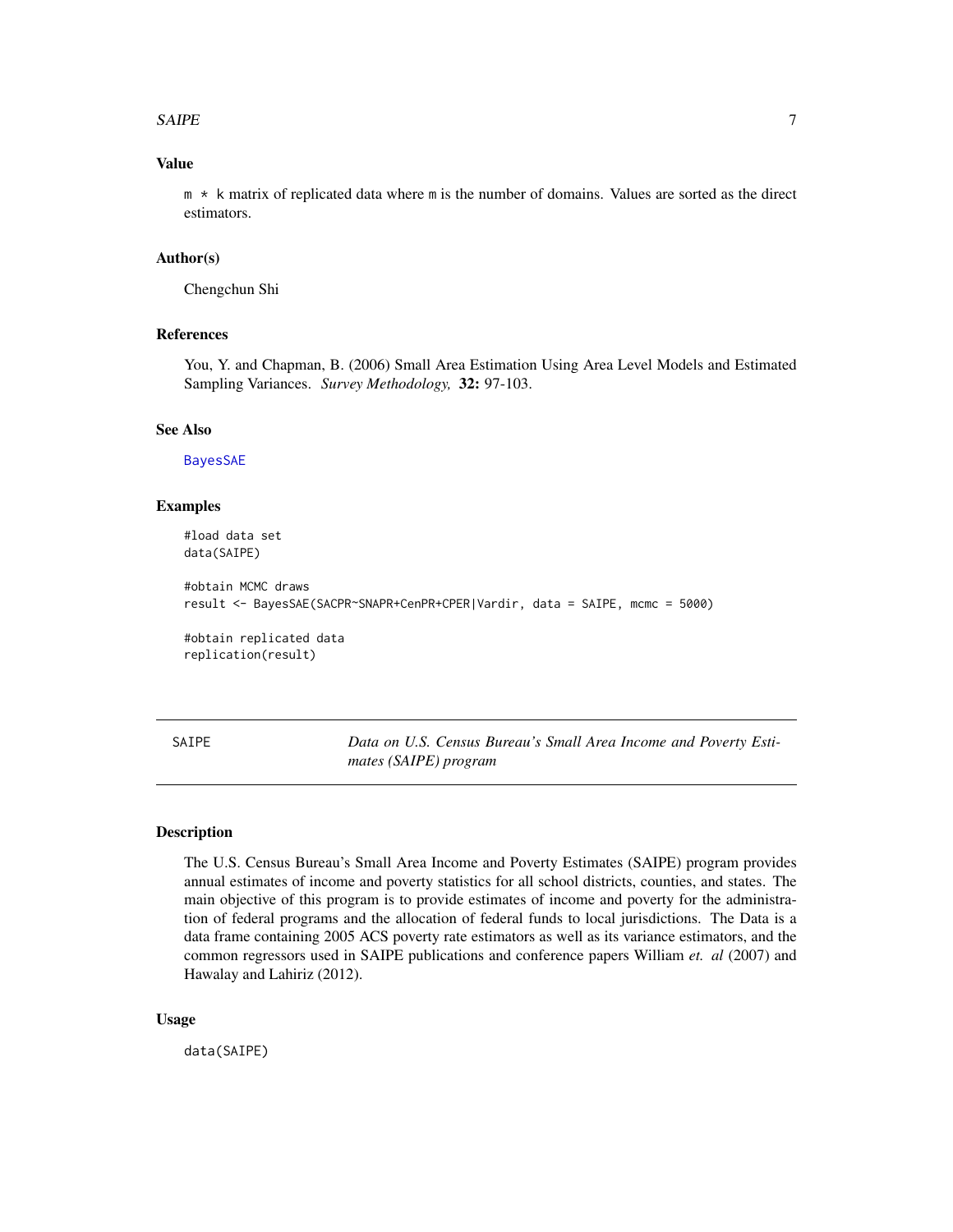#### <span id="page-6-0"></span> $S A IPE$  7

#### Value

m \* k matrix of replicated data where m is the number of domains. Values are sorted as the direct estimators.

#### Author(s)

Chengchun Shi

#### References

You, Y. and Chapman, B. (2006) Small Area Estimation Using Area Level Models and Estimated Sampling Variances. *Survey Methodology,* 32: 97-103.

#### See Also

[BayesSAE](#page-2-1)

#### Examples

#load data set data(SAIPE)

```
#obtain MCMC draws
result <- BayesSAE(SACPR~SNAPR+CenPR+CPER|Vardir, data = SAIPE, mcmc = 5000)
```
#obtain replicated data replication(result)

SAIPE *Data on U.S. Census Bureau's Small Area Income and Poverty Estimates (SAIPE) program*

#### Description

The U.S. Census Bureau's Small Area Income and Poverty Estimates (SAIPE) program provides annual estimates of income and poverty statistics for all school districts, counties, and states. The main objective of this program is to provide estimates of income and poverty for the administration of federal programs and the allocation of federal funds to local jurisdictions. The Data is a data frame containing 2005 ACS poverty rate estimators as well as its variance estimators, and the common regressors used in SAIPE publications and conference papers William *et. al* (2007) and Hawalay and Lahiriz (2012).

#### Usage

data(SAIPE)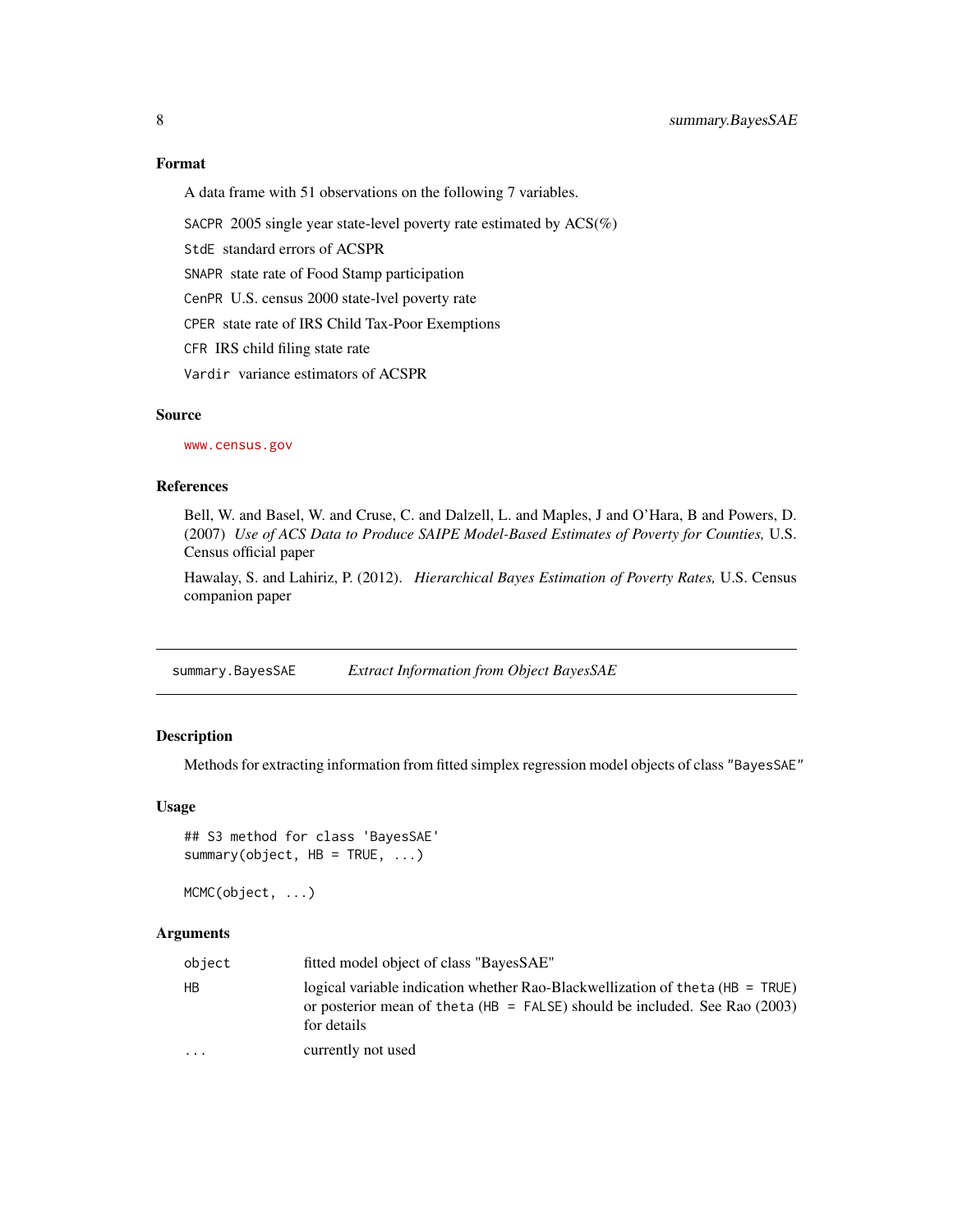#### Format

A data frame with 51 observations on the following 7 variables.

SACPR 2005 single year state-level poverty rate estimated by ACS(%)

StdE standard errors of ACSPR

SNAPR state rate of Food Stamp participation

CenPR U.S. census 2000 state-lvel poverty rate

CPER state rate of IRS Child Tax-Poor Exemptions

CFR IRS child filing state rate

Vardir variance estimators of ACSPR

#### Source

<www.census.gov>

#### References

Bell, W. and Basel, W. and Cruse, C. and Dalzell, L. and Maples, J and O'Hara, B and Powers, D. (2007) *Use of ACS Data to Produce SAIPE Model-Based Estimates of Poverty for Counties,* U.S. Census official paper

Hawalay, S. and Lahiriz, P. (2012). *Hierarchical Bayes Estimation of Poverty Rates,* U.S. Census companion paper

summary.BayesSAE *Extract Information from Object BayesSAE*

#### Description

Methods for extracting information from fitted simplex regression model objects of class "BayesSAE"

#### Usage

```
## S3 method for class 'BayesSAE'
summary(object, HB = TRUE, ...)
```
MCMC(object, ...)

#### Arguments

| object    | fitted model object of class "BayesSAE"                                                                                                                                          |
|-----------|----------------------------------------------------------------------------------------------------------------------------------------------------------------------------------|
| <b>HB</b> | logical variable indication whether Rao-Blackwellization of the ta $(HB = TRUE)$<br>or posterior mean of the ta (HB = FALSE) should be included. See Rao $(2003)$<br>for details |
| $\cdot$   | currently not used                                                                                                                                                               |

<span id="page-7-0"></span>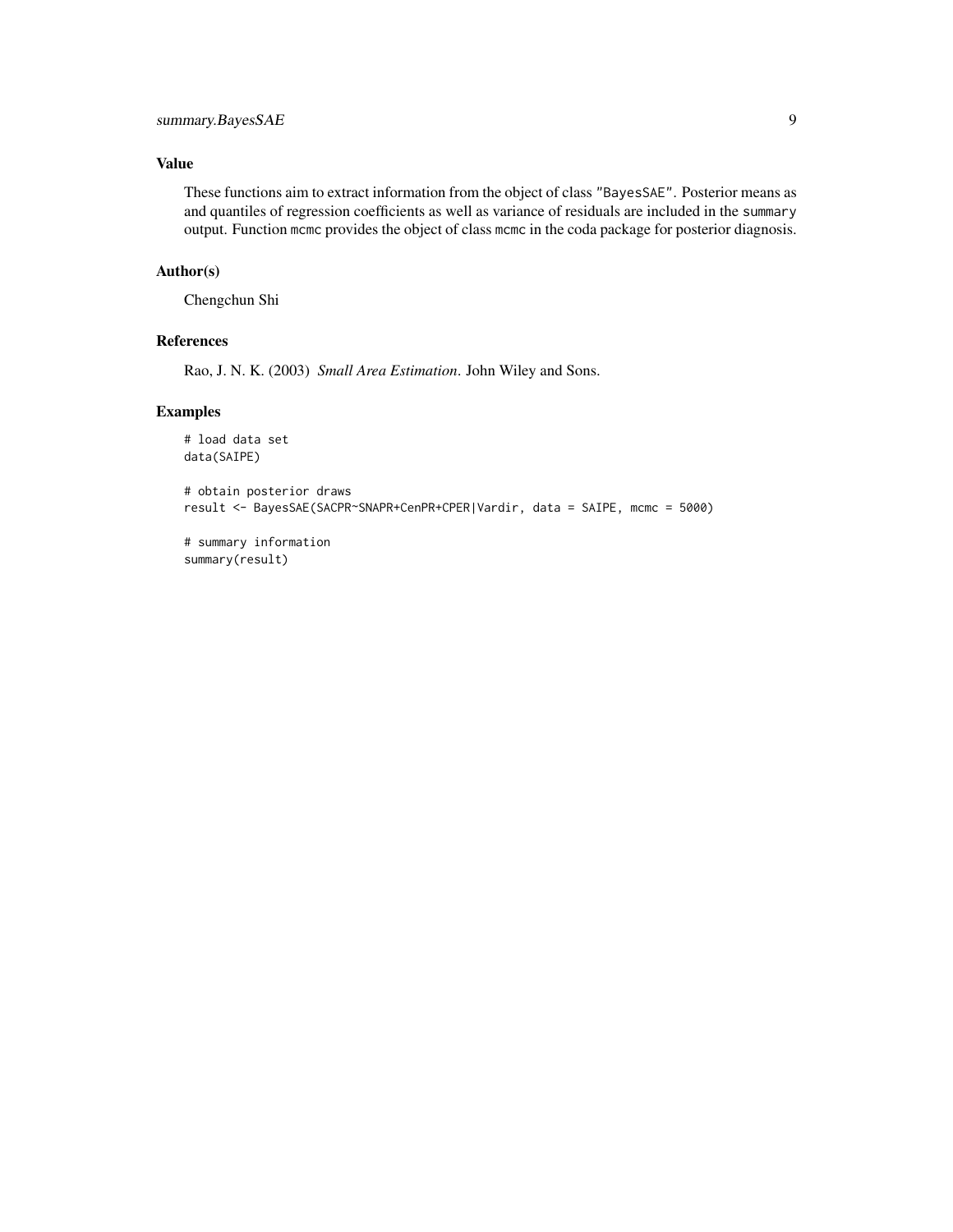#### Value

These functions aim to extract information from the object of class "BayesSAE". Posterior means as and quantiles of regression coefficients as well as variance of residuals are included in the summary output. Function mcmc provides the object of class mcmc in the coda package for posterior diagnosis.

#### Author(s)

Chengchun Shi

#### References

Rao, J. N. K. (2003) *Small Area Estimation*. John Wiley and Sons.

#### Examples

```
# load data set
data(SAIPE)
```

```
# obtain posterior draws
result <- BayesSAE(SACPR~SNAPR+CenPR+CPER|Vardir, data = SAIPE, mcmc = 5000)
```

```
# summary information
summary(result)
```